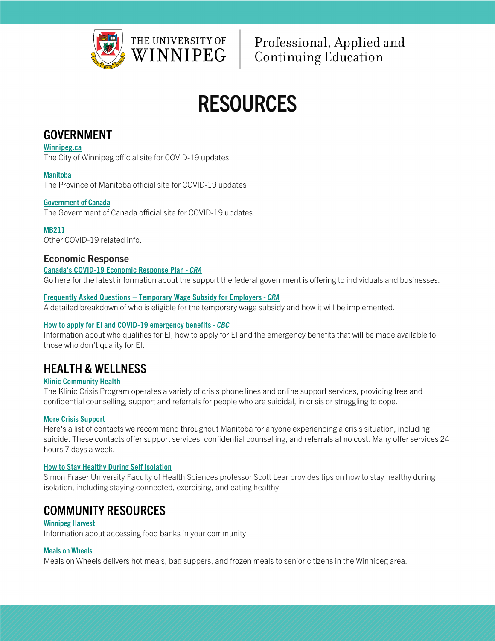

Professional, Applied and **Continuing Education** 

# RESOURCES

## GOVERNMENT

[Winnipeg.ca](https://www.winnipeg.ca/emergweb/covid-19/default.stm)

The City of Winnipeg official site for COVID-19 updates

#### [Manitoba](https://www.gov.mb.ca/covid19/index.html)

The Province of Manitoba official site for COVID-19 updates

#### [Government of Canada](https://www.canada.ca/en/public-health/services/diseases/coronavirus-disease-covid-19.html)

The Government of Canada official site for COVID-19 updates

#### [MB211](https://mb.211.ca/covid-19-information/)

Other COVID-19 related info.

#### Economic Response

#### [Canada's COVID-19 Economic Response Plan](https://www.canada.ca/en/department-finance/economic-response-plan.html) - *CRA*

Go here for the latest information about the support the federal government is offering to individuals and businesses.

#### Frequently Asked Questions – [Temporary Wage Subsidy for Employers](https://www.canada.ca/en/revenue-agency/campaigns/covid-19-update/frequently-asked-questions-wage-subsidy-small-businesses.html) - *CRA*

A detailed breakdown of who is eligible for the temporary wage subsidy and how it will be implemented.

#### [How to apply for EI and COVID-19 emergency benefits](https://www.cbc.ca/news/canada/apply-emergency-benefits-1.5501977?cmp=newsletter_Minority%20Report_826_10323) - *CBC*

Information about who qualifies for EI, how to apply for EI and the emergency benefits that will be made available to those who don't quality for EI.

# HEALTH & WELLNESS

#### [Klinic Community Health](http://klinic.mb.ca/crisis-support/)

The Klinic Crisis Program operates a variety of crisis phone lines and online support services, providing free and confidential counselling, support and referrals for people who are suicidal, in crisis or struggling to cope.

#### [More Crisis Support](http://www.mooddisordersmanitoba.ca/immediate-help/)

Here's a list of contacts we recommend throughout Manitoba for anyone experiencing a crisis situation, including suicide. These contacts offer support services, confidential counselling, and referrals at no cost. Many offer services 24 hours 7 days a week.

#### [How to Stay Healthy During Self Isolation](https://drscottlear.com/2020/03/18/how-to-stay-healthy-during-self-isolation/)

Simon Fraser University Faculty of Health Sciences professor Scott Lear provides tips on how to stay healthy during isolation, including staying connected, exercising, and eating healthy.

# COMMUNITY RESOURCES

#### [Winnipeg Harvest](https://winnipegharvest.org/need-help/need-food/)

Information about accessing food banks in your community.

#### [Meals on Wheels](https://www.mealswinnipeg.com/)

Meals on Wheels delivers hot meals, bag suppers, and frozen meals to senior citizens in the Winnipeg area.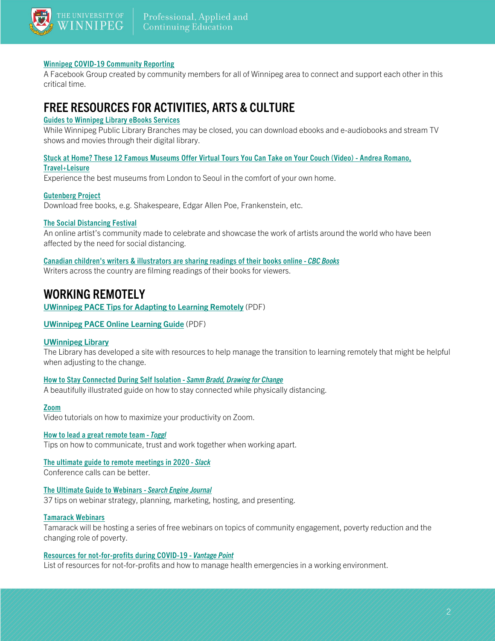

#### [Winnipeg COVID-19 Community Reporting](https://www.facebook.com/groups/Winnipeg.Only.Free.Stuff/)

A Facebook Group created by community members for all of Winnipeg area to connect and support each other in this critical time.

# FREE RESOURCES FOR ACTIVITIES, ARTS & CULTURE

#### [Guides to Winnipeg Library eBooks Services](https://guides.wpl.winnipeg.ca/c.php?g=143905&p=1426479)

While Winnipeg Public Library Branches may be closed, you can download ebooks and e-audiobooks and stream TV shows and movies through their digital library.

#### [Stuck at Home? These 12 Famous Museums Offer Virtual Tours You Can Take on Your Couch \(Video\) -](https://www.travelandleisure.com/attractions/museums-galleries/museums-with-virtual-tours?fbclid=IwAR0kAoNEUdh0eDjHmLaGRj1BClzToCEMBrQ-EXZp0d7xbwFLDHDvhkuydIQ) Andrea Romano, [Travel+Leisure](https://www.travelandleisure.com/attractions/museums-galleries/museums-with-virtual-tours?fbclid=IwAR0kAoNEUdh0eDjHmLaGRj1BClzToCEMBrQ-EXZp0d7xbwFLDHDvhkuydIQ)

Experience the best museums from London to Seoul in the comfort of your own home.

#### [Gutenberg Project](https://www.gutenberg.org/)

Download free books, e.g. Shakespeare, Edgar Allen Poe, Frankenstein, etc.

#### [The Social Distancing Festival](https://www.socialdistancingfestival.com/?fbclid=IwAR3k5e_uv6PlgcBSzDTZ1nTiLbhcWWumecTEFRTpKOQpzP61M41MOrEbQLE)

An online artist's community made to celebrate and showcase the work of artists around the world who have been affected by the need for social distancing.

#### [Canadian children's writers & illustrators are sharing readings of their books online](https://www.cbc.ca/books/canadian-writers-are-sharing-readings-of-their-books-online-1.5500364?fbclid=IwAR1aVE8I8W52Khm7pu-ZgnOnyoixIdYqkHlqSfXZ4VEeQiIeyXPklgE5lMg) - *CBC Books*

Writers across the country are filming readings of their books for viewers.

### WORKING REMOTELY

UWinnipeg PACE [Tips for Adapting to Learning Remotely](https://pace.uwinnipegcourses.ca/sites/default/files/pdfs/publications/Study%20Tips%20for%20Managing%20a%20Transition%20to%20Remote%20Learning.pdf) (PDF)

#### [UWinnipeg PACE Online Learning Guide](https://pace.uwinnipegcourses.ca/sites/default/files/pdfs/publications/UWPACE_Student_Learning_Resources-Online_Learning_Guide.pdf) (PDF)

#### [UWinnipeg Library](http://libguides.uwinnipeg.ca/covid19)

The Library has developed a site with resources to help manage the transition to learning remotely that might be helpful when adjusting to the change.

#### [How to Stay Connected During Self Isolation](https://drawingchange.com/how-to-stay-connected-during-self-isolation-covid-19/?fbclid=IwAR3_Zx_o6mQ5XaVl3FvoS2KuzvTb12tjtawBnrSlr435osJ5SZR-n9DhJ1A) - *Samm Bradd, Drawing for Change*

A beautifully illustrated guide on how to stay connected while physically distancing.

#### [Zoom](https://support.zoom.us/hc/en-us/articles/206618765-Zoom-Video-Tutorials)

Video tutorials on how to maximize your productivity on Zoom.

#### [How to lead a great remote team](https://toggl.com/out-of-office-leading-a-remote-team/) - *Toggl*

Tips on how to communicate, trust and work together when working apart.

#### [The ultimate guide to remote meetings in 2020](https://slackhq.com/ultimate-guide-remote-meetings) - *Slack* Conference calls can be better.

#### [The Ultimate Guide to Webinars](https://www.searchenginejournal.com/webinar-planning-best-practices-guide/231301/#close) - *Search Engine Journal*

37 tips on webinar strategy, planning, marketing, hosting, and presenting.

#### [Tamarack Webinars](https://www.tamarackcommunity.ca/hubfs/Tamarack%20Webinar%20Schedule%202020.pdf?utm_campaign=10-Year%20Strategy&utm_source=hs_email&utm_medium=email&utm_content=84856281&_hsenc=p2ANqtz-_k1DQ9pxfusoRJLnP4nKfE50PwvJJsCnQ2oKthIDhZE-ayhJ1XRgB1uYZllGbfn1sABpqoVePA8JUOWA0IcSjVBUiSfA&_hsmi=84856281)

Tamarack will be hosting a series of free webinars on topics of community engagement, poverty reduction and the changing role of poverty.

#### [Resources for not-for-profits during COVID-19](https://www.thevantagepoint.ca/blog/resources-not-profits-during-covid-19) - *Vantage Point*

List of resources for not-for-profits and how to manage health emergencies in a working environment.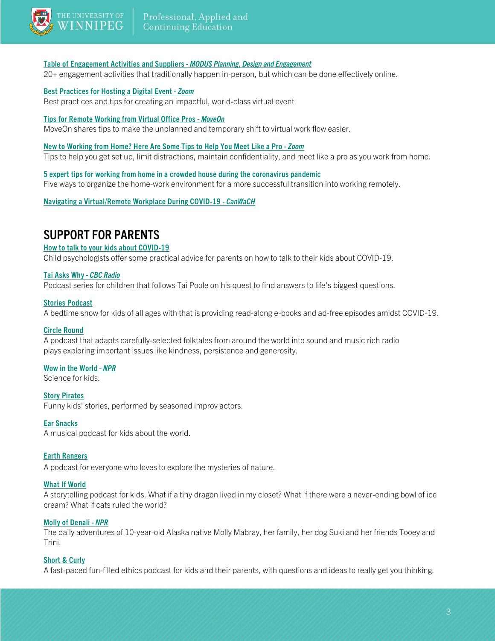

#### [Table of Engagement Activities and Suppliers](https://mcusercontent.com/2bc13cdee4c54f3d551c1bf18/files/367d67d4-486c-49dd-8b9d-60bc7a2f0a7f/TABLE_OF_ENGAGEMENT_ACTIVITIES_AND_SUPPLIERS_V1.pdf) - *MODUS Planning, Design and Engagement*

20+ engagement activities that traditionally happen in-person, but which can be done effectively online.

#### [Best Practices for Hosting](https://blog.zoom.us/wordpress/2020/03/04/best-practices-for-hosting-a-digital-event/) a Digital Event - *Zoom*

Best practices and tips for creating an impactful, world-class virtual event

#### [Tips for Remote Working from Virtual Office Pros](https://medium.com/@MoveOn.org/tips-for-remote-working-from-virtual-office-pros-13b27d7a9803) - *MoveOn*

MoveOn shares tips to make the unplanned and temporary shift to virtual work flow easier.

#### [New to Working from Home? Here Are Some Tips to Help You Meet Like a Pro](https://blog.zoom.us/wordpress/2020/03/09/working-from-home-tips-to-meet-like-a-pro/) - *Zoom*

Tips to help you get set up, limit distractions, maintain confidentiality, and meet like a pro as you work from home.

[5 expert tips for working from home in a crowded house during the coronavirus pandemic](https://theconversation.com/5-expert-tips-for-working-from-home-in-a-crowded-house-during-the-coronavirus-pandemic-133967?utm_medium=email&utm_campaign=Latest%20from%20The%20Conversation%20for%20March%2021-22%202020&utm_content=Latest%20from%20The%20Conversation%20for%20March%2021-22%202020+CID_57bb819dbbc435328138053b63873b44&utm_source=campaign_monitor_ca&utm_term=5%20expert%20tips%20for%20working%20from%20home%20in%20a%20crowded%20house%20during%20the%20coronavirus%20pandemic)

Five ways to organize the home-work environment for a more successful transition into working remotely.

[Navigating a Virtual/Remote Workplace During COVID-19](https://www.canwach.ca/article/navigating-virtualremote-workplace-during-covid-19) - *CanWaCH*

## SUPPORT FOR PARENTS

#### [How to talk to your kids about COVID-19](https://theconversation.com/coronavirus-qandas-answers-to-7-questions-your-kids-may-have-about-the-pandemic-133576)

Child psychologists offer some practical advice for parents on how to talk to their kids about COVID-19.

#### [Tai Asks Why](https://www.cbc.ca/radio/podcasts/tai-asks-why/) - *CBC Radio*

Podcast series for children that follows Tai Poole on his quest to find answers to life's biggest questions.

#### [Stories Podcast](http://storiespodcast.com/)

A bedtime show for kids of all ages with that is providing read-along e-books and ad-free episodes amidst COVID-19.

#### [Circle Round](https://www.wbur.org/circleround)

A podcast that adapts carefully-selected folktales from around the world into sound and music rich radio plays exploring important issues like kindness, persistence and generosity.

#### [Wow in the World](https://www.npr.org/podcasts/510321/wow-in-the-world) - *NPR*

Science for kids.

**[Story Pirates](https://www.storypirates.com/)** Funny kids' stories, performed by seasoned improv actors.

#### [Ear Snacks](https://www.earsnacks.org/)

A musical podcast for kids about the world.

#### [Earth Rangers](https://www.earthrangers.com/podcast/)

A podcast for everyone who loves to explore the mysteries of nature.

#### [What If World](http://www.whatifworldpodcast.com/episodes)

A storytelling podcast for kids. What if a tiny dragon lived in my closet? What if there were a never-ending bowl of ice cream? What if cats ruled the world?

#### [Molly of Denali](https://www.npr.org/podcasts/727663819/molly-of-denali) - *NPR*

The daily adventures of 10-year-old Alaska native Molly Mabray, her family, her dog Suki and her friends Tooey and Trini.

#### [Short & Curly](https://www.abc.net.au/radio/programs/shortandcurly/)

A fast-paced fun-filled ethics podcast for kids and their parents, with questions and ideas to really get you thinking.